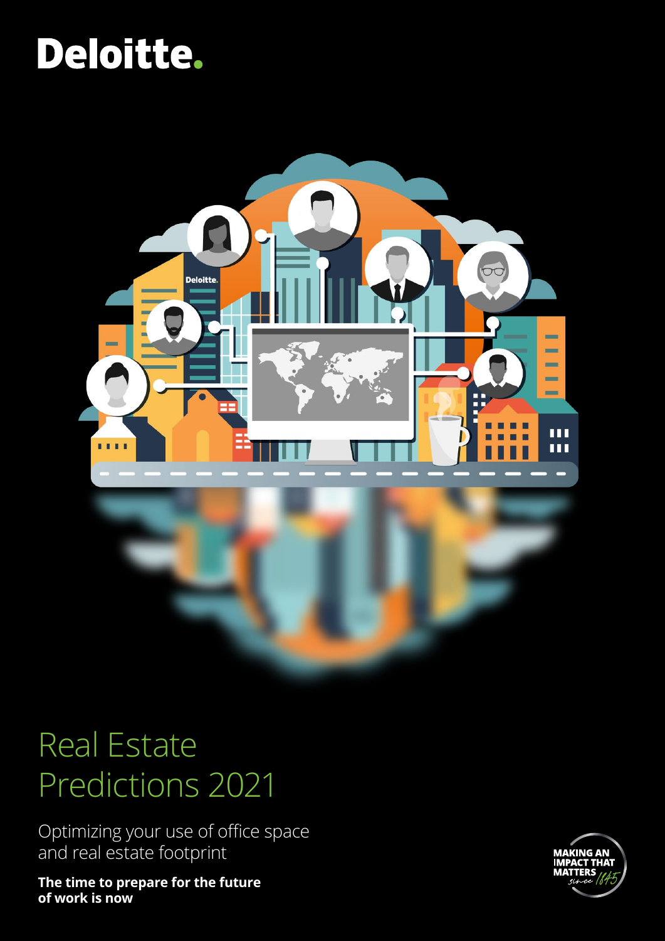# Deloitte.



# Real Estate Predictions 2021

Optimizing your use of office space and real estate footprint

**The time to prepare for the future of work is now**

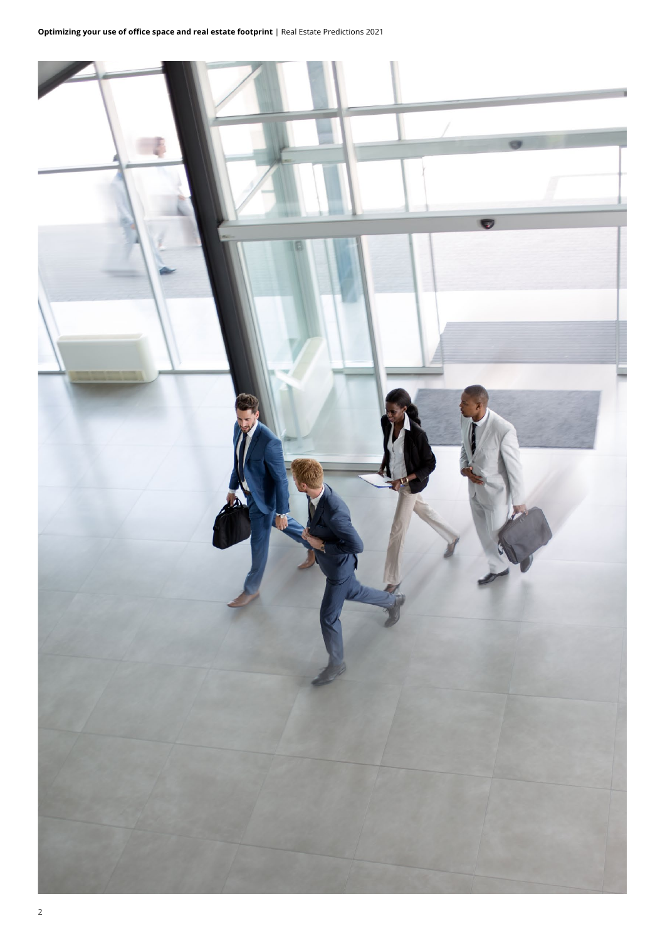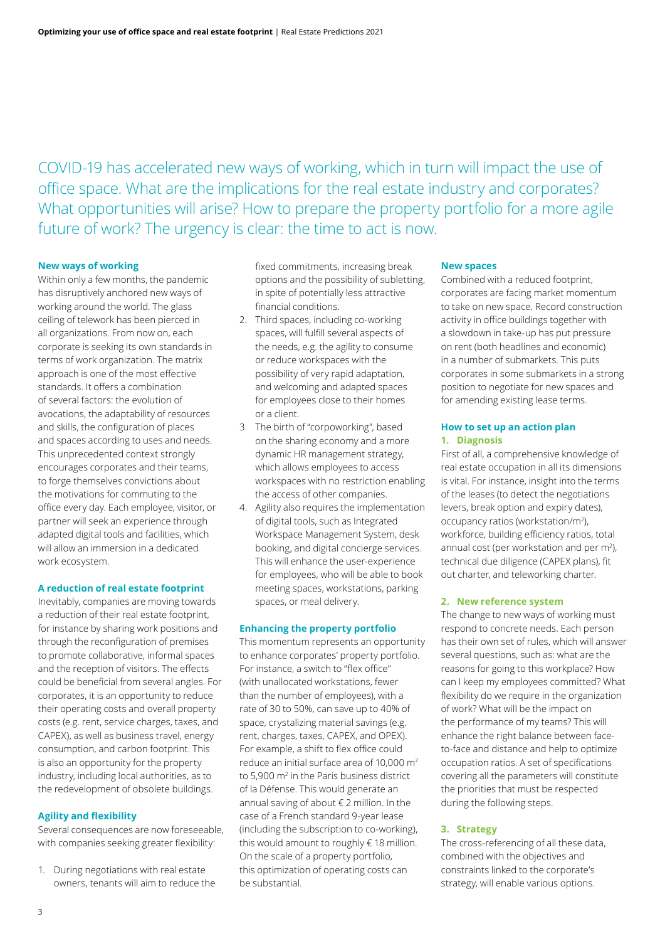COVID-19 has accelerated new ways of working, which in turn will impact the use of office space. What are the implications for the real estate industry and corporates? What opportunities will arise? How to prepare the property portfolio for a more agile future of work? The urgency is clear: the time to act is now.

#### **New ways of working**

Within only a few months, the pandemic has disruptively anchored new ways of working around the world. The glass ceiling of telework has been pierced in all organizations. From now on, each corporate is seeking its own standards in terms of work organization. The matrix approach is one of the most effective standards. It offers a combination of several factors: the evolution of avocations, the adaptability of resources and skills, the configuration of places and spaces according to uses and needs. This unprecedented context strongly encourages corporates and their teams, to forge themselves convictions about the motivations for commuting to the office every day. Each employee, visitor, or partner will seek an experience through adapted digital tools and facilities, which will allow an immersion in a dedicated work ecosystem.

### **A reduction of real estate footprint**

Inevitably, companies are moving towards a reduction of their real estate footprint, for instance by sharing work positions and through the reconfiguration of premises to promote collaborative, informal spaces and the reception of visitors. The effects could be beneficial from several angles. For corporates, it is an opportunity to reduce their operating costs and overall property costs (e.g. rent, service charges, taxes, and CAPEX), as well as business travel, energy consumption, and carbon footprint. This is also an opportunity for the property industry, including local authorities, as to the redevelopment of obsolete buildings.

## **Agility and flexibility**

Several consequences are now foreseeable, with companies seeking greater flexibility:

1. During negotiations with real estate owners, tenants will aim to reduce the fixed commitments, increasing break options and the possibility of subletting, in spite of potentially less attractive financial conditions.

- 2. Third spaces, including co-working spaces, will fulfill several aspects of the needs, e.g. the agility to consume or reduce workspaces with the possibility of very rapid adaptation, and welcoming and adapted spaces for employees close to their homes or a client.
- 3. The birth of "corpoworking", based on the sharing economy and a more dynamic HR management strategy, which allows employees to access workspaces with no restriction enabling the access of other companies.
- 4. Agility also requires the implementation of digital tools, such as Integrated Workspace Management System, desk booking, and digital concierge services. This will enhance the user-experience for employees, who will be able to book meeting spaces, workstations, parking spaces, or meal delivery.

#### **Enhancing the property portfolio**

This momentum represents an opportunity to enhance corporates' property portfolio. For instance, a switch to "flex office" (with unallocated workstations, fewer than the number of employees), with a rate of 30 to 50%, can save up to 40% of space, crystalizing material savings (e.g. rent, charges, taxes, CAPEX, and OPEX). For example, a shift to flex office could reduce an initial surface area of 10,000 m2 to 5,900 m2 in the Paris business district of la Défense. This would generate an annual saving of about € 2 million. In the case of a French standard 9-year lease (including the subscription to co-working), this would amount to roughly € 18 million. On the scale of a property portfolio, this optimization of operating costs can be substantial.

#### **New spaces**

Combined with a reduced footprint, corporates are facing market momentum to take on new space. Record construction activity in office buildings together with a slowdown in take-up has put pressure on rent (both headlines and economic) in a number of submarkets. This puts corporates in some submarkets in a strong position to negotiate for new spaces and for amending existing lease terms.

#### **How to set up an action plan 1. Diagnosis**

First of all, a comprehensive knowledge of real estate occupation in all its dimensions is vital. For instance, insight into the terms of the leases (to detect the negotiations levers, break option and expiry dates), occupancy ratios (workstation/m2 ), workforce, building efficiency ratios, total annual cost (per workstation and per  $m^2$ ), technical due diligence (CAPEX plans), fit out charter, and teleworking charter.

#### **2. New reference system**

The change to new ways of working must respond to concrete needs. Each person has their own set of rules, which will answer several questions, such as: what are the reasons for going to this workplace? How can I keep my employees committed? What flexibility do we require in the organization of work? What will be the impact on the performance of my teams? This will enhance the right balance between faceto-face and distance and help to optimize occupation ratios. A set of specifications covering all the parameters will constitute the priorities that must be respected during the following steps.

#### **3. Strategy**

The cross-referencing of all these data, combined with the objectives and constraints linked to the corporate's strategy, will enable various options.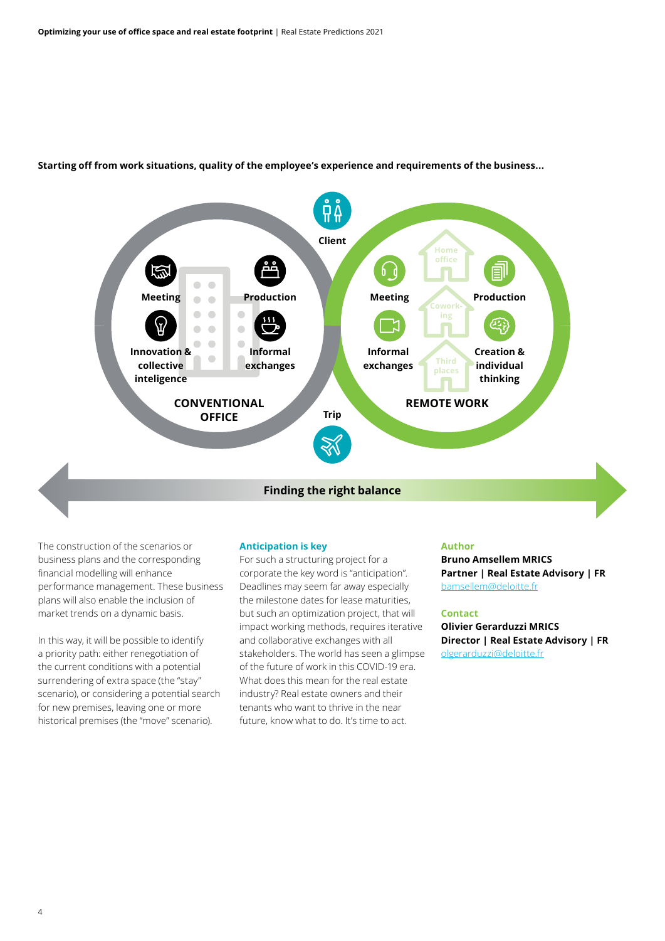

**Starting off from work situations, quality of the employee's experience and requirements of the business...**

The construction of the scenarios or business plans and the corresponding financial modelling will enhance performance management. These business plans will also enable the inclusion of market trends on a dynamic basis.

In this way, it will be possible to identify a priority path: either renegotiation of the current conditions with a potential surrendering of extra space (the "stay" scenario), or considering a potential search for new premises, leaving one or more historical premises (the "move" scenario).

### **Anticipation is key**

For such a structuring project for a corporate the key word is "anticipation". Deadlines may seem far away especially the milestone dates for lease maturities, but such an optimization project, that will impact working methods, requires iterative and collaborative exchanges with all stakeholders. The world has seen a glimpse of the future of work in this COVID-19 era. What does this mean for the real estate industry? Real estate owners and their tenants who want to thrive in the near future, know what to do. It's time to act.

#### **Author**

**Bruno Amsellem MRICS Partner | Real Estate Advisory | FR** bamsellem@deloitte.fr

#### **Contact**

**Olivier Gerarduzzi MRICS Director | Real Estate Advisory | FR** olgerarduzzi@deloitte.fr